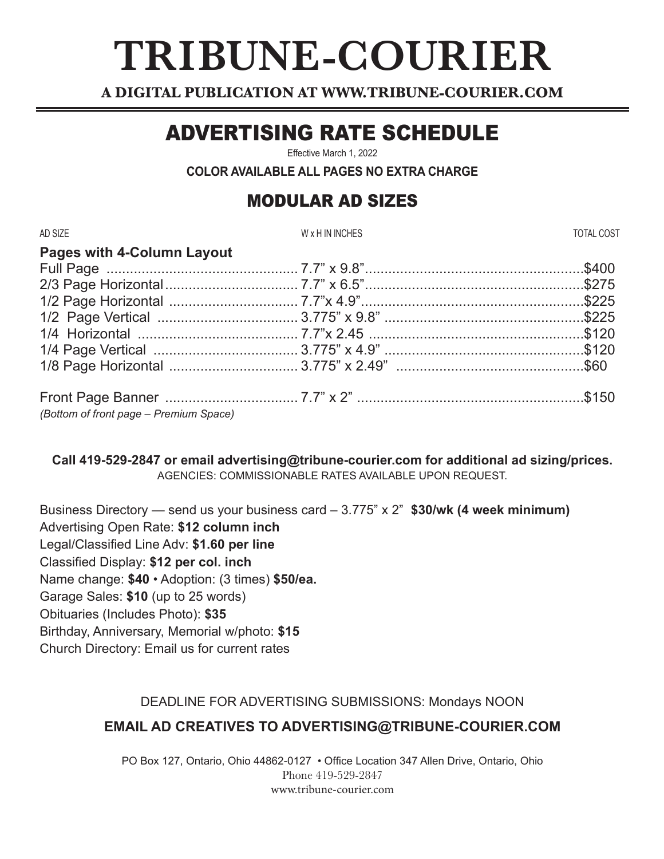# **TRIBUNE-COURIER**

**A DIGITAL PUBLICATION AT WWW.TRIBUNE-COURIER.COM** 

## ADVERTISING RATE SCHEDULE

Effective March 1, 2022

**COLOR AVAILABLE ALL PAGES NO EXTRA CHARGE** 

### MODULAR AD SIZES

| AD SIZE                                | W x H IN INCHES | <b>TOTAL COST</b> |
|----------------------------------------|-----------------|-------------------|
| <b>Pages with 4-Column Layout</b>      |                 |                   |
|                                        |                 |                   |
|                                        |                 |                   |
|                                        |                 |                   |
|                                        |                 |                   |
|                                        |                 |                   |
|                                        |                 |                   |
|                                        |                 |                   |
|                                        |                 |                   |
| (Bottom of front page - Premium Space) |                 |                   |

**Call 419-529-2847 or email advertising@tribune-courier.com for additional ad sizing/prices.**  AGENCIES: COMMISSIONABLE RATES AVAILABLE UPON REQUEST.

Business Directory — send us your business card – 3.775" x 2" **\$30/wk (4 week minimum)**  Advertising Open Rate: **\$12 column inch** Legal/Classified Line Adv: **\$1.60 per line**  Classified Display: **\$12 per col. inch**  Name change: **\$40** • Adoption: (3 times) **\$50/ea.**  Garage Sales: **\$10** (up to 25 words) Obituaries (Includes Photo): **\$35** Birthday, Anniversary, Memorial w/photo: **\$15**  Church Directory: Email us for current rates

#### DEADLINE FOR ADVERTISING SUBMISSIONS: Mondays NOON

#### **EMAIL AD CREATIVES TO ADVERTISING@TRIBUNE-COURIER.COM**

PO Box 127, Ontario, Ohio 44862-0127 • Office Location 347 Allen Drive, Ontario, Ohio Phone 419-529-2847 www.tribune-courier.com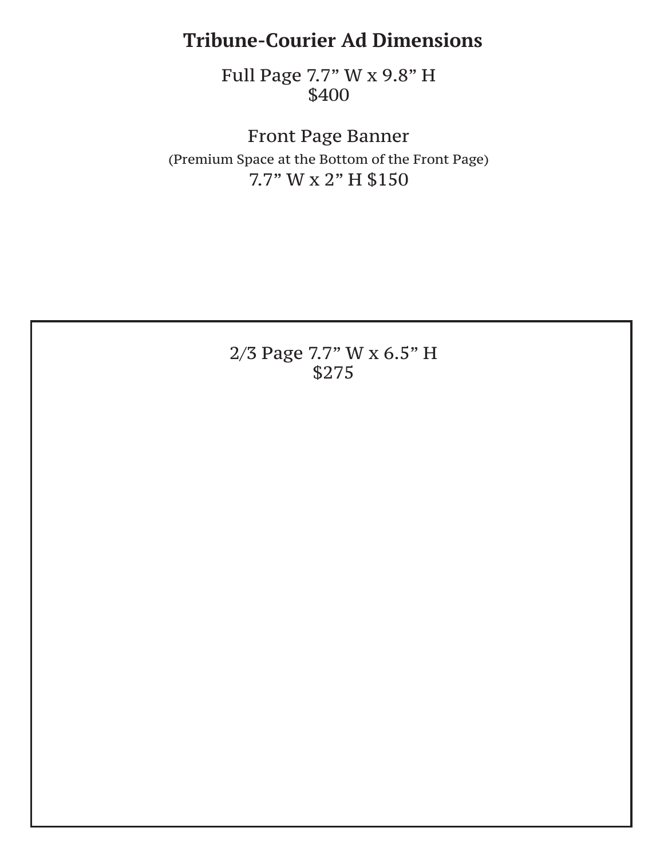## **Tribune-Courier Ad Dimensions**

Full Page 7.7" W x 9.8" H \$400

Front Page Banner (Premium Space at the Bottom of the Front Page) 7.7" W x 2" H \$150

> 2/3 Page 7.7" W x 6.5" H \$275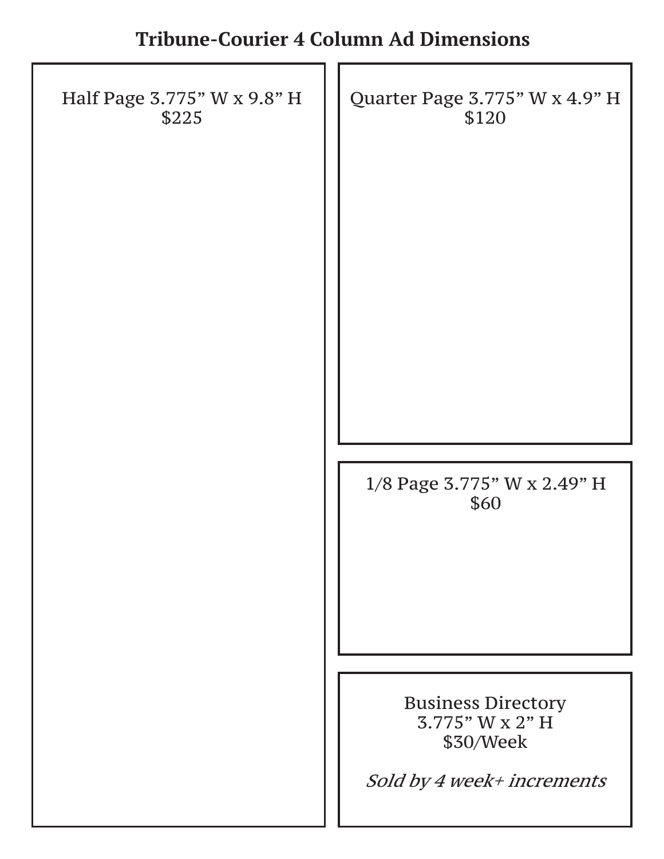| Half Page 3.775" W x 9.8" H<br>\$225 | Quarter Page 3.775" W x 4.9" H<br>\$120                   |
|--------------------------------------|-----------------------------------------------------------|
|                                      |                                                           |
|                                      |                                                           |
|                                      |                                                           |
|                                      |                                                           |
|                                      | 1/8 Page 3.775" W x 2.49" H<br>\$60                       |
|                                      |                                                           |
|                                      |                                                           |
|                                      | <b>Business Directory</b><br>3.775" W x 2" H<br>\$30/Week |
|                                      | Sold by 4 week+ increments                                |